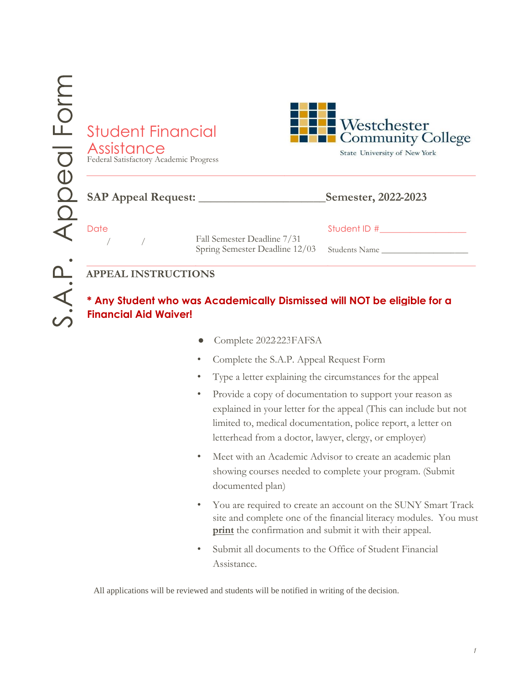| <b>Student Financial</b><br>Assistance<br>Federal Satisfactory Academic Progress |                                                               | <b>Westchester</b><br>Community College<br>State University of New York |  |
|----------------------------------------------------------------------------------|---------------------------------------------------------------|-------------------------------------------------------------------------|--|
| <b>SAP Appeal Request:</b>                                                       |                                                               | Semester, 2022-2023                                                     |  |
| Date                                                                             | Fall Semester Deadline 7/31<br>Spring Semester Deadline 12/03 | Student ID #<br>Students Name                                           |  |
| <b>APPEAL INSTRUCTIONS</b>                                                       |                                                               |                                                                         |  |

**\* Any Student who was Academically Dismissed will NOT be eligible for a Financial Aid Waiver!**

- Complete 2022-223 FAFSA
- Complete the S.A.P. Appeal Request Form 20
- Type a letter explaining the circumstances for the appeal
- Provide a copy of documentation to support your reason as explained in your letter for the appeal (This can include but not limited to, medical documentation, police report, a letter on letterhead from a doctor, lawyer, clergy, or employer)
- Meet with an Academic Advisor to create an academic plan showing courses needed to complete your program. (Submit documented plan)
- You are required to create an account on the SUNY Smart Track site and complete one of the financial literacy modules. You must **print** the confirmation and submit it with their appeal.
- Submit all documents to the Office of Student Financial Assistance.

All applications will be reviewed and students will be notified in writing of the decision.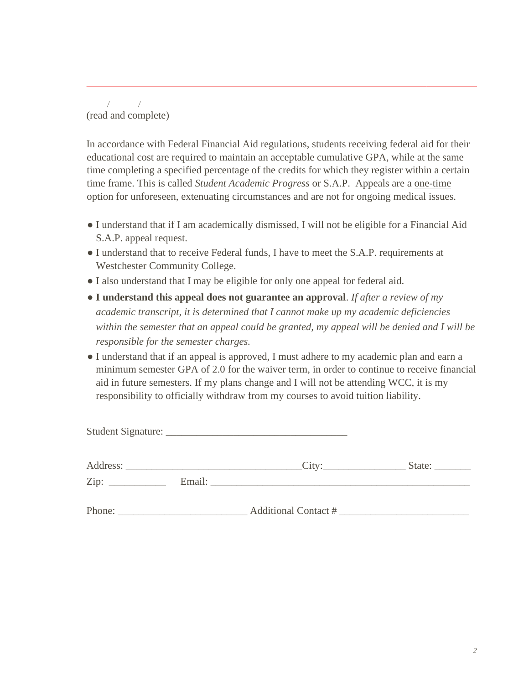*/ /*  (read and complete)

In accordance with Federal Financial Aid regulations, students receiving federal aid for their educational cost are required to maintain an acceptable cumulative GPA, while at the same time completing a specified percentage of the credits for which they register within a certain time frame. This is called *Student Academic Progress* or S.A.P. Appeals are a one-time option for unforeseen, extenuating circumstances and are not for ongoing medical issues.

- I understand that if I am academically dismissed, I will not be eligible for a Financial Aid S.A.P. appeal request.
- I understand that to receive Federal funds, I have to meet the S.A.P. requirements at Westchester Community College.
- I also understand that I may be eligible for only one appeal for federal aid.
- **I understand this appeal does not guarantee an approval**. *If after a review of my academic transcript, it is determined that I cannot make up my academic deficiencies within the semester that an appeal could be granted, my appeal will be denied and I will be responsible for the semester charges.*
- I understand that if an appeal is approved, I must adhere to my academic plan and earn a minimum semester GPA of 2.0 for the waiver term, in order to continue to receive financial aid in future semesters. If my plans change and I will not be attending WCC, it is my responsibility to officially withdraw from my courses to avoid tuition liability.

|                    |                             | State: $\frac{1}{\sqrt{1-\frac{1}{2}} \cdot \frac{1}{\sqrt{1-\frac{1}{2}} \cdot \frac{1}{2}}}}$ |
|--------------------|-----------------------------|-------------------------------------------------------------------------------------------------|
| $\overline{Zip: }$ |                             |                                                                                                 |
| Phone:             | <b>Additional Contact #</b> |                                                                                                 |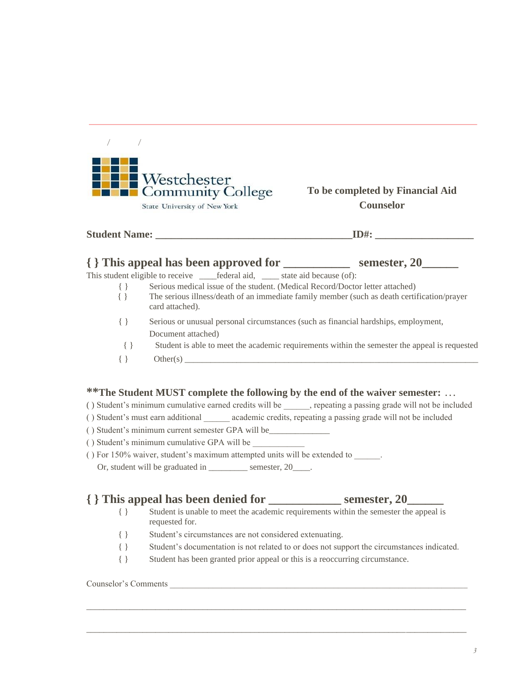| <b>FLE</b> Westchester<br><b>Example 2</b> Community College |
|--------------------------------------------------------------|
| State University of New York                                 |

 */ /* 

### **To be completed by Financial Aid Counselor**

|           | Serious medical issue of the student. (Medical Record/Doctor letter attached)                                  |  |
|-----------|----------------------------------------------------------------------------------------------------------------|--|
|           | The serious illness/death of an immediate family member (such as death certification/prayer<br>card attached). |  |
| $\{$ $\}$ | Serious or unusual personal circumstances (such as financial hardships, employment,                            |  |
|           | Document attached)                                                                                             |  |
| $\{\ \}$  | Student is able to meet the academic requirements within the semester the appeal is requested                  |  |
|           | Other(s)                                                                                                       |  |

**Student Name:**  $ID#$ :

## ( ) Student's minimum cumulative earned credits will be \_\_\_\_\_\_, repeating a passing grade will not be included

- ( ) Student's must earn additional \_\_\_\_\_\_ academic credits, repeating a passing grade will not be included
- ( ) Student's minimum current semester GPA will be\_\_\_\_\_\_\_\_\_\_\_\_\_\_
- ( ) Student's minimum cumulative GPA will be \_\_\_\_\_\_\_\_\_\_\_\_
- ( ) For 150% waiver, student's maximum attempted units will be extended to \_\_\_\_\_\_.
	- Or, student will be graduated in \_\_\_\_\_\_\_\_ semester, 20\_\_\_\_.

## **{ } This appeal has been denied for \_\_\_\_\_\_\_\_\_\_\_\_ semester, 20\_\_\_\_\_\_**

- { } Student is unable to meet the academic requirements within the semester the appeal is requested for.
- { } Student's circumstances are not considered extenuating.
- { } Student's documentation is not related to or does not support the circumstances indicated.
- { } Student has been granted prior appeal or this is a reoccurring circumstance.

\_\_\_\_\_\_\_\_\_\_\_\_\_\_\_\_\_\_\_\_\_\_\_\_\_\_\_\_\_\_\_\_\_\_\_\_\_\_\_\_\_\_\_\_\_\_\_\_\_\_\_\_\_\_\_\_\_\_\_\_\_\_\_\_\_\_\_\_\_\_\_\_\_\_\_\_\_\_\_\_\_\_\_\_\_\_\_\_

\_\_\_\_\_\_\_\_\_\_\_\_\_\_\_\_\_\_\_\_\_\_\_\_\_\_\_\_\_\_\_\_\_\_\_\_\_\_\_\_\_\_\_\_\_\_\_\_\_\_\_\_\_\_\_\_\_\_\_\_\_\_\_\_\_\_\_\_\_\_\_\_\_\_\_\_\_\_\_\_\_\_\_\_\_\_\_\_

#### Counselor's Comments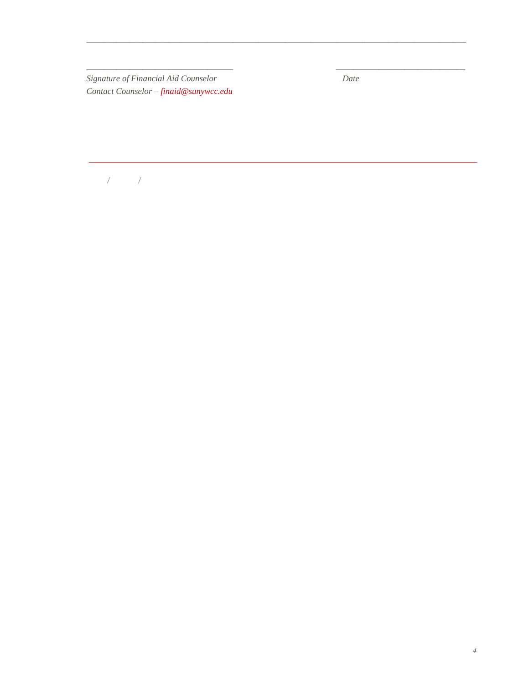*Signature of Financial Aid Counselor Date Contact Counselor – finaid@sunywcc.edu* 

\_\_\_\_\_\_\_\_\_\_\_\_\_\_\_\_\_\_\_\_\_\_\_\_\_\_\_\_\_\_\_\_\_\_\_\_\_\_\_\_\_\_\_\_\_\_\_\_\_\_\_\_\_\_\_\_\_\_\_\_\_\_\_\_\_\_\_\_\_\_\_\_\_\_\_\_\_\_\_\_\_\_\_\_\_\_\_\_

\_\_\_\_\_\_\_\_\_\_\_\_\_\_\_\_\_\_\_\_\_\_\_\_\_\_\_\_\_\_\_\_\_\_ \_\_\_\_\_\_\_\_\_\_\_\_\_\_\_\_\_\_\_\_\_\_\_\_\_\_\_\_\_\_

 */ /*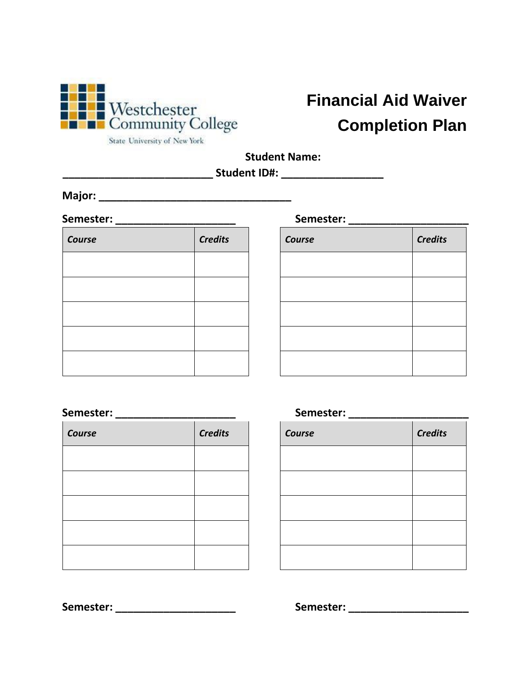

# **Financial Aid Waiver Completion Plan**

State University of New York

**Student Name:** 

**\_\_\_\_\_\_\_\_\_\_\_\_\_\_\_\_\_\_\_\_\_\_\_\_\_ Student ID#: \_\_\_\_\_\_\_\_\_\_\_\_\_\_\_\_\_** 

**Major: \_\_\_\_\_\_\_\_\_\_\_\_\_\_\_\_\_\_\_\_\_\_\_\_\_\_\_\_\_\_\_\_**

| Course | <b>Credits</b> | Course | <b>Credits</b> |
|--------|----------------|--------|----------------|
|        |                |        |                |
|        |                |        |                |
|        |                |        |                |
|        |                |        |                |
|        |                |        |                |

| Semester: |                |  | Semester: |  |                |
|-----------|----------------|--|-----------|--|----------------|
| Course    | <b>Credits</b> |  | Course    |  | <b>Credits</b> |
|           |                |  |           |  |                |
|           |                |  |           |  |                |
|           |                |  |           |  |                |
|           |                |  |           |  |                |
|           |                |  |           |  |                |
|           |                |  |           |  |                |

## **Semester: \_\_\_\_\_\_\_\_\_\_\_\_\_\_\_\_\_\_\_\_ Semester: \_\_\_\_\_\_\_\_\_\_\_\_\_\_\_\_\_\_\_\_**

| Course | <b>Credits</b> | Course | <b>Credits</b> |
|--------|----------------|--------|----------------|
|        |                |        |                |
|        |                |        |                |
|        |                |        |                |
|        |                |        |                |
|        |                |        |                |

| Course | <b>Credits</b> |
|--------|----------------|
|        |                |
|        |                |
|        |                |
|        |                |
|        |                |

**Semester: \_\_\_\_\_\_\_\_\_\_\_\_\_\_\_\_\_\_\_\_ Semester: \_\_\_\_\_\_\_\_\_\_\_\_\_\_\_\_\_\_\_\_**